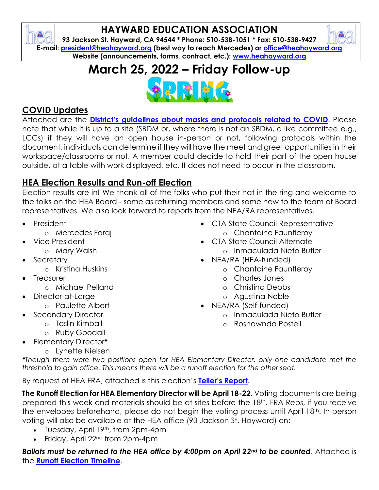### **HAYWARD EDUCATION ASSOCIATION**

**93 Jackson St. Hayward, CA 94544 \* Phone: 510-538-1051 \* Fax: 510-538-9427 E-mail: [president@heahayward.org](mailto:president@heahayward.org) (best way to reach Mercedes) or [office@heahayward.org](mailto:office@heahayward.org) Website (announcements, forms, contract, etc.): [www.heahayward.org](http://www.heahayward.org/)**

# **March 25, 2022 – Friday Follow-up**



#### **COVID Updates**

 $\bullet$ 

Attached are the **[District's guidelines about masks and protocols related to COVI](https://drive.google.com/drive/folders/13xc9-7rRAcco-8aAyRRA7zf_KDzHZvnF?usp=sharing)D**. Please note that while it is up to a site (SBDM or, where there is not an SBDM, a like committee e.g., LCCs) if they will have an open house in-person or not, following protocols within the document, individuals can determine if they will have the meet and greet opportunities in their workspace/classrooms or not. A member could decide to hold their part of the open house outside, at a table with work displayed, etc. It does not need to occur in the classroom.

#### **HEA Election Results and Run-off Election**

Election results are in! We thank all of the folks who put their hat in the ring and welcome to the folks on the HEA Board - some as returning members and some new to the team of Board representatives. We also look forward to reports from the NEA/RA representatives.

- President
	- o Mercedes Faraj
- Vice President
	- o Mary Walsh
- Secretary
	- o Kristina Huskins
- **Treasurer** 
	- o Michael Pelland
- Director-at-Large
	- o Paulette Albert
	- Secondary Director
		- o Taslin Kimball
			- o Ruby Goodall
- Elementary Director**\***
	- o Lynette Nielsen
- CTA State Council Representative
	- o Chantaine Fauntleroy • CTA State Council Alternate
	- o Inmaculada Nieto Butler
- NEA/RA (HEA-funded)
	- o Chantaine Fauntleroy
	- o Charles Jones
	- o Christina Debbs
	- o Agustina Noble
- NEA/RA (Self-funded)
	- o Inmaculada Nieto Butler
	- o Roshawnda Postell

*\*Though there were two positions open for HEA Elementary Director, only one candidate met the threshold to gain office. This means there will be a runoff election for the other seat.*

By request of HEA FRA, attached is this election's **[Teller's Repor](https://drive.google.com/file/d/1ashCoiUiG8huvRKAVmZkbKiUTgv5mcY3/view?usp=sharing)t**.

**The Runoff Election for HEA Elementary Director will be April 18-22.** Voting documents are being prepared this week and materials should be at sites before the 18th. FRA Reps, if you receive the envelopes beforehand, please do not begin the voting process until April 18th. In-person voting will also be available at the HEA office (93 Jackson St. Hayward) on:

- Tuesday, April 19<sup>th</sup>, from 2pm-4pm
- Friday, April 22nd from 2pm-4pm

*Ballots must be returned to the HEA office by 4:00pm on April 22nd to be counted*. Attached is the **[Runoff Election Timeline](https://drive.google.com/file/d/1VcXgkK1FdvK0kbUUIwBAMBxyeZTGQFpJ/view?usp=sharing)**.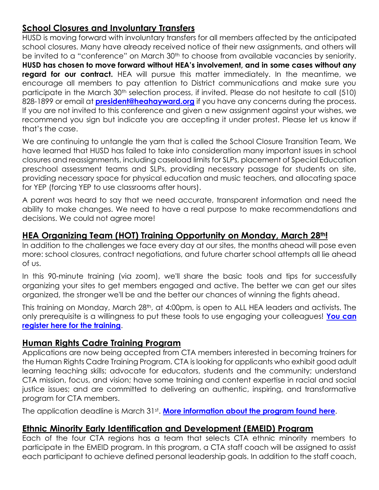#### **School Closures and Involuntary Transfers**

HUSD is moving forward with involuntary transfers for all members affected by the anticipated school closures. Many have already received notice of their new assignments, and others will be invited to a "conference" on March 30<sup>th</sup> to choose from available vacancies by seniority. **HUSD has chosen to move forward without HEA's involvement, and in some cases without any regard for our contract.** HEA will pursue this matter immediately. In the meantime, we encourage all members to pay attention to District communications and make sure you participate in the March 30th selection process, if invited. Please do not hesitate to call (510) 828-1899 or email at **[president@heahayward.org](mailto:president@heahayward.org)** if you have any concerns during the process. If you are not invited to this conference and given a new assignment against your wishes, we recommend you sign but indicate you are accepting it under protest. Please let us know if that's the case.

We are continuing to untangle the yarn that is called the School Closure Transition Team, We have learned that HUSD has failed to take into consideration many important issues in school closures and reassignments, including caseload limits for SLPs, placement of Special Education preschool assessment teams and SLPs, providing necessary passage for students on site, providing necessary space for physical education and music teachers, and allocating space for YEP (forcing YEP to use classrooms after hours).

A parent was heard to say that we need accurate, transparent information and need the ability to make changes. We need to have a real purpose to make recommendations and decisions. We could not agree more!

#### **HEA Organizing Team (HOT) Training Opportunity on Monday, March 28th!**

In addition to the challenges we face every day at our sites, the months ahead will pose even more: school closures, contract negotiations, and future charter school attempts all lie ahead of us.

In this 90-minute training (via zoom), we'll share the basic tools and tips for successfully organizing your sites to get members engaged and active. The better we can get our sites organized, the stronger we'll be and the better our chances of winning the fights ahead.

This training on Monday, March 28<sup>th</sup>, at 4:00pm, is open to ALL HEA leaders and activists. The only prerequisite is a willingness to put these tools to use engaging your colleagues! **[You can](https://us02web.zoom.us/meeting/register/tZUuf-Gvrj8sGNf4JIcdVj0Ot-UD54shfsY7)  [register here for the training](https://us02web.zoom.us/meeting/register/tZUuf-Gvrj8sGNf4JIcdVj0Ot-UD54shfsY7)**.

#### **Human Rights Cadre Training Program**

Applications are now being accepted from CTA members interested in becoming trainers for the Human Rights Cadre Training Program. CTA is looking for applicants who exhibit good adult learning teaching skills; advocate for educators, students and the community; understand CTA mission, focus, and vision; have some training and content expertise in racial and social justice issues; and are committed to delivering an authentic, inspiring, and transformative program for CTA members.

The application deadline is March 31st . **[More information about the program found here](https://drive.google.com/file/d/1Fa0FYipNhlB2251NwoSeV4j4V2it7ysJ/view?usp=sharing)**.

#### **Ethnic Minority Early Identification and Development (EMEID) Program**

Each of the four CTA regions has a team that selects CTA ethnic minority members to participate in the EMEID program. In this program, a CTA staff coach will be assigned to assist each participant to achieve defined personal leadership goals. In addition to the staff coach,